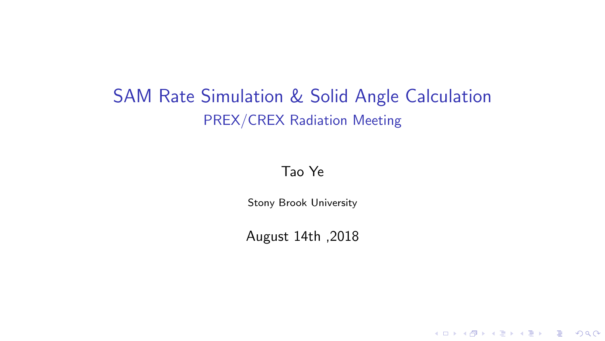# SAM Rate Simulation & Solid Angle Calculation PREX/CREX Radiation Meeting

#### Tao Ye

Stony Brook University

August 14th ,2018

K ロ ▶ K @ ▶ K 할 ▶ K 할 ▶ 이 할 → 9 Q Q →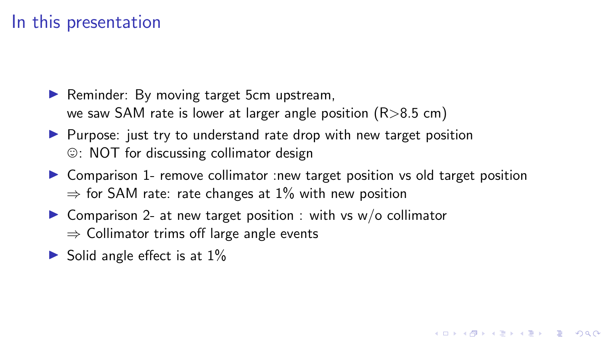### In this presentation

- $\blacktriangleright$  Reminder: By moving target 5cm upstream, we saw SAM rate is lower at larger angle position  $(R > 8.5$  cm)
- $\blacktriangleright$  Purpose: just try to understand rate drop with new target position  $\circ$ : NOT for discussing collimator design
- ▶ Comparison 1- remove collimator :new target position vs old target position  $\Rightarrow$  for SAM rate: rate changes at 1% with new position

**KORK ERKER ADAM ADA** 

- $\triangleright$  Comparison 2- at new target position : with vs w/o collimator  $\Rightarrow$  Collimator trims off large angle events
- $\triangleright$  Solid angle effect is at  $1\%$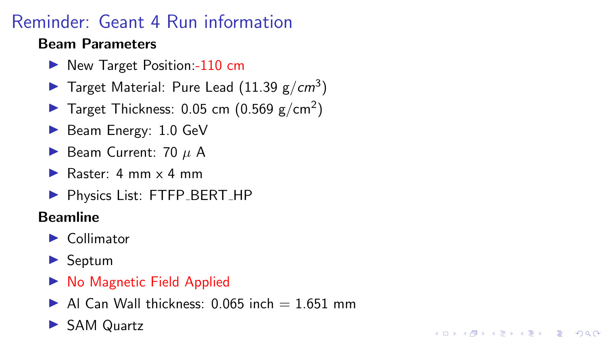# Reminder: Geant 4 Run information

#### Beam Parameters

- ▶ New Target Position:-110 cm
- Target Material: Pure Lead  $(11.39 \text{ g/cm}^3)$
- Target Thickness: 0.05 cm  $(0.569 \text{ g/cm}^2)$
- $\blacktriangleright$  Beam Energy: 1.0 GeV
- $\blacktriangleright$  Beam Current: 70  $\mu$  A
- Raster:  $4 \text{ mm} \times 4 \text{ mm}$
- ▶ Physics List: FTFP\_BERT\_HP

#### Beamline

- $\blacktriangleright$  Collimator
- $\blacktriangleright$  Septum
- $\triangleright$  No Magnetic Field Applied
- $\blacktriangleright$  Al Can Wall thickness: 0.065 inch = 1.651 mm

**KORK EXTERNE DRAM** 

▶ SAM Quartz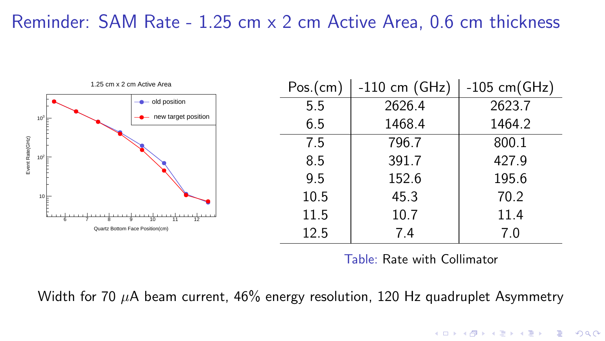### Reminder: SAM Rate - 1.25 cm x 2 cm Active Area, 0.6 cm thickness



Table: Rate with Collimator

**KORK EXTERNE DRAM** 

Width for 70  $\mu$ A beam current, 46% energy resolution, 120 Hz quadruplet Asymmetry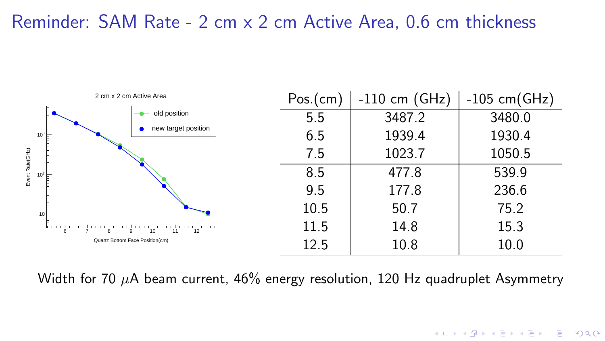### Reminder: SAM Rate - 2 cm x 2 cm Active Area, 0.6 cm thickness



Width for 70  $\mu$ A beam current, 46% energy resolution, 120 Hz quadruplet Asymmetry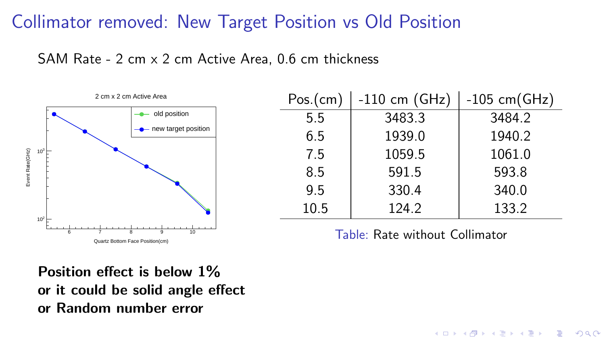## Collimator removed: New Target Position vs Old Position

SAM Rate - 2 cm x 2 cm Active Area, 0.6 cm thickness



| Pos.(cm) | $-110$ cm (GHz) | $-105$ cm(GHz) |
|----------|-----------------|----------------|
| 5.5      | 3483.3          | 3484.2         |
| 6.5      | 1939.0          | 1940.2         |
| 7.5      | 1059.5          | 1061.0         |
| 8.5      | 591.5           | 593.8          |
| 9.5      | 330.4           | 340.0          |
| 10.5     | 124.2           | 133.2          |

Table: Rate without Collimator

**KORK ERKER ADAM ADA** 

Position effect is below 1% or it could be solid angle effect or Random number error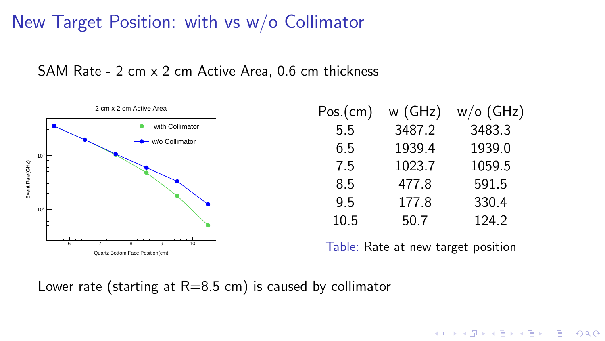## New Target Position: with vs w/o Collimator





| Pos.(cm) | w (GHz) | $w/o$ (GHz) |  |
|----------|---------|-------------|--|
| 5.5      | 3487.2  | 3483.3      |  |
| 6.5      | 1939.4  | 1939.0      |  |
| 7.5      | 1023.7  | 1059.5      |  |
| 8.5      | 477.8   | 591.5       |  |
| 9.5      | 177.8   | 330.4       |  |
| 10.5     | 50.7    | 124.2       |  |

Table: Rate at new target position

Lower rate (starting at  $R=8.5$  cm) is caused by collimator

٠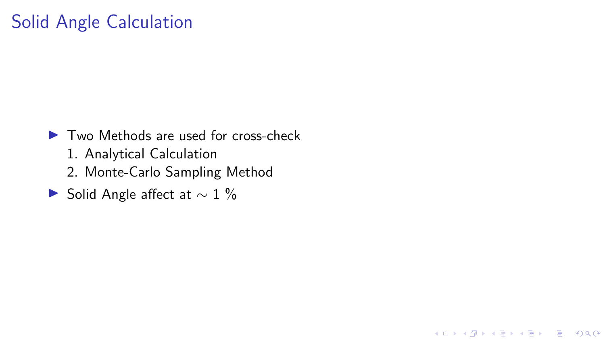## Solid Angle Calculation

 $\blacktriangleright$  Two Methods are used for cross-check

- 1. Analytical Calculation
- 2. Monte-Carlo Sampling Method

K ロ ▶ K 個 ▶ K 할 ▶ K 할 ▶ 이 할 → 900 Q

► Solid Angle affect at  $\sim 1 \%$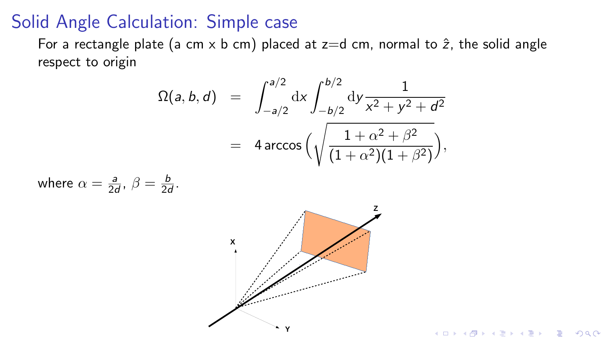#### Solid Angle Calculation: Simple case

For a rectangle plate (a cm x b cm) placed at  $z=$ d cm, normal to  $\hat{z}$ , the solid angle respect to origin

$$
\Omega(a, b, d) = \int_{-a/2}^{a/2} dx \int_{-b/2}^{b/2} dy \frac{1}{x^2 + y^2 + d^2}
$$
  
=  $4 \arccos \Big( \sqrt{\frac{1 + \alpha^2 + \beta^2}{(1 + \alpha^2)(1 + \beta^2)}} \Big),$ 

where 
$$
\alpha = \frac{a}{2d}
$$
,  $\beta = \frac{b}{2d}$ .



K ロ ▶ K 個 ▶ K 할 ▶ K 할 ▶ 이 할 → 9 Q Q →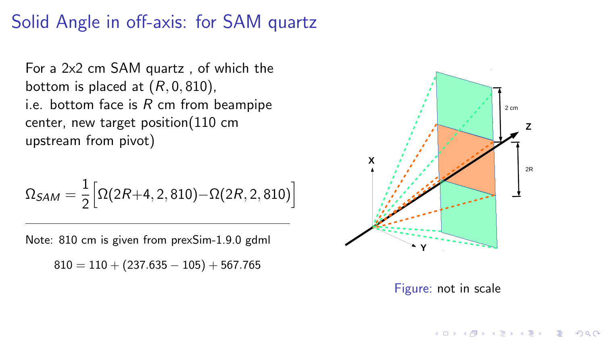## Solid Angle in off-axis: for SAM quartz

For a 2x2 cm SAM quartz , of which the bottom is placed at  $(R, 0, 810)$ , i.e. bottom face is  $R$  cm from beampipe center, new target position(110 cm upstream from pivot)

$$
\Omega_{\mathcal{S}AM} = \frac{1}{2} \Big[ \Omega(2R{+}4,2,810) {-} \Omega(2R,2,810) \Big]
$$

Note: 810 cm is given from prexSim-1.9.0 gdml  $810 = 110 + (237.635 - 105) + 567.765$ 



Figure: not in scale

KO KA KO KERKER KONGK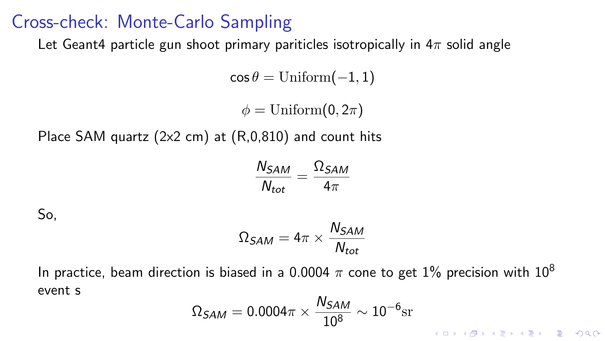#### Cross-check: Monte-Carlo Sampling

Let Geant4 particle gun shoot primary pariticles isotropically in  $4\pi$  solid angle

 $\cos \theta = \text{Uniform}(-1, 1)$ 

 $\phi = \text{Uniform}(0, 2\pi)$ 

Place SAM quartz (2x2 cm) at (R,0,810) and count hits

$$
\frac{N_{SAM}}{N_{tot}} = \frac{\Omega_{SAM}}{4\pi}
$$

So,

$$
\Omega_{SAM}=4\pi\times\frac{N_{SAM}}{N_{tot}}
$$

In practice, beam direction is biased in a 0.0004  $\pi$  cone to get 1% precision with 10<sup>8</sup> event s

$$
\Omega_{SAM}=0.0004\pi\times\frac{N_{SAM}}{10^8}\sim10^{-6}\mathrm{sr}
$$

K ロ ▶ K 個 ▶ K 할 ▶ K 할 ▶ 이 할 → 9 Q Q →